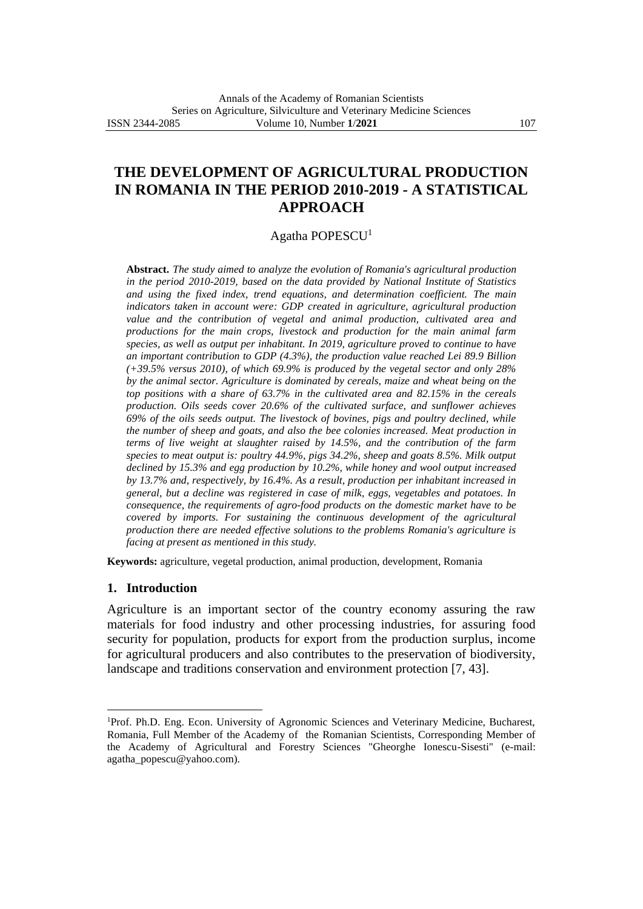# **THE DEVELOPMENT OF AGRICULTURAL PRODUCTION IN ROMANIA IN THE PERIOD 2010-2019 - A STATISTICAL APPROACH**

#### Agatha POPESCU<sup>1</sup>

**Abstract.** *The study aimed to analyze the evolution of Romania's agricultural production in the period 2010-2019, based on the data provided by National Institute of Statistics and using the fixed index, trend equations, and determination coefficient. The main indicators taken in account were: GDP created in agriculture, agricultural production value and the contribution of vegetal and animal production, cultivated area and productions for the main crops, livestock and production for the main animal farm species, as well as output per inhabitant. In 2019, agriculture proved to continue to have an important contribution to GDP (4.3%), the production value reached Lei 89.9 Billion (+39.5% versus 2010), of which 69.9% is produced by the vegetal sector and only 28% by the animal sector. Agriculture is dominated by cereals, maize and wheat being on the top positions with a share of 63.7% in the cultivated area and 82.15% in the cereals production. Oils seeds cover 20.6% of the cultivated surface, and sunflower achieves 69% of the oils seeds output. The livestock of bovines, pigs and poultry declined, while the number of sheep and goats, and also the bee colonies increased. Meat production in terms of live weight at slaughter raised by 14.5%, and the contribution of the farm species to meat output is: poultry 44.9%, pigs 34.2%, sheep and goats 8.5%. Milk output declined by 15.3% and egg production by 10.2%, while honey and wool output increased by 13.7% and, respectively, by 16.4%. As a result, production per inhabitant increased in general, but a decline was registered in case of milk, eggs, vegetables and potatoes. In consequence, the requirements of agro-food products on the domestic market have to be covered by imports. For sustaining the continuous development of the agricultural production there are needed effective solutions to the problems Romania's agriculture is facing at present as mentioned in this study.*

**Keywords:** agriculture, vegetal production, animal production, development, Romania

#### **1. Introduction**

Agriculture is an important sector of the country economy assuring the raw materials for food industry and other processing industries, for assuring food security for population, products for export from the production surplus, income for agricultural producers and also contributes to the preservation of biodiversity, landscape and traditions conservation and environment protection [7, 43].

<sup>1</sup>Prof. Ph.D. Eng. Econ. University of Agronomic Sciences and Veterinary Medicine, Bucharest, Romania, Full Member of the Academy of the Romanian Scientists, Corresponding Member of the Academy of Agricultural and Forestry Sciences "Gheorghe Ionescu-Sisesti" (e-mail: agatha\_popescu@yahoo.com).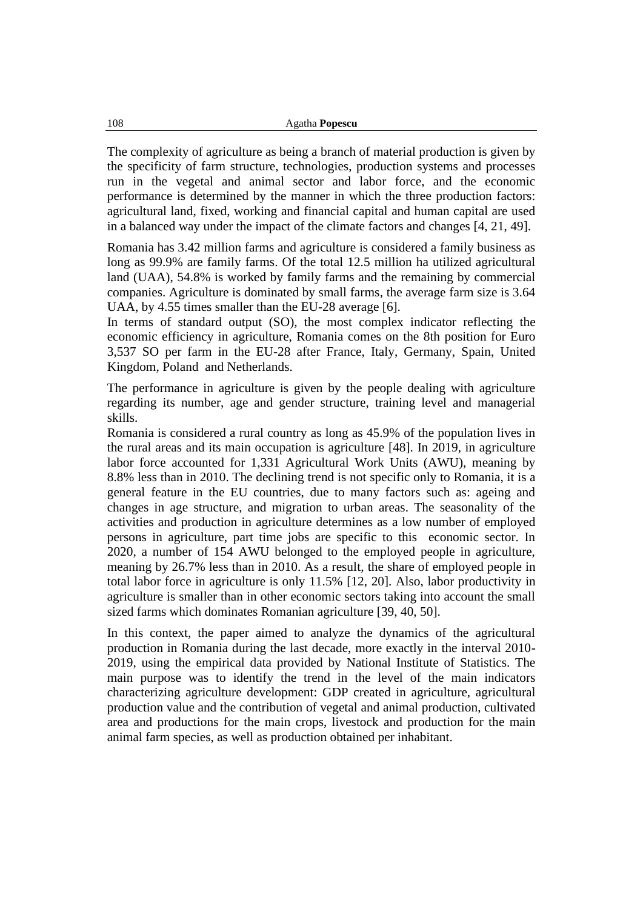The complexity of agriculture as being a branch of material production is given by the specificity of farm structure, technologies, production systems and processes run in the vegetal and animal sector and labor force, and the economic performance is determined by the manner in which the three production factors: agricultural land, fixed, working and financial capital and human capital are used in a balanced way under the impact of the climate factors and changes [4, 21, 49].

Romania has 3.42 million farms and agriculture is considered a family business as long as 99.9% are family farms. Of the total 12.5 million ha utilized agricultural land (UAA), 54.8% is worked by family farms and the remaining by commercial companies. Agriculture is dominated by small farms, the average farm size is 3.64 UAA, by 4.55 times smaller than the EU-28 average [6].

In terms of standard output (SO), the most complex indicator reflecting the economic efficiency in agriculture, Romania comes on the 8th position for Euro 3,537 SO per farm in the EU-28 after France, Italy, Germany, Spain, United Kingdom, Poland and Netherlands.

The performance in agriculture is given by the people dealing with agriculture regarding its number, age and gender structure, training level and managerial skills.

Romania is considered a rural country as long as 45.9% of the population lives in the rural areas and its main occupation is agriculture [48]. In 2019, in agriculture labor force accounted for 1,331 Agricultural Work Units (AWU), meaning by 8.8% less than in 2010. The declining trend is not specific only to Romania, it is a general feature in the EU countries, due to many factors such as: ageing and changes in age structure, and migration to urban areas. The seasonality of the activities and production in agriculture determines as a low number of employed persons in agriculture, part time jobs are specific to this economic sector. In 2020, a number of 154 AWU belonged to the employed people in agriculture, meaning by 26.7% less than in 2010. As a result, the share of employed people in total labor force in agriculture is only 11.5% [12, 20]. Also, labor productivity in agriculture is smaller than in other economic sectors taking into account the small sized farms which dominates Romanian agriculture [39, 40, 50].

In this context, the paper aimed to analyze the dynamics of the agricultural production in Romania during the last decade, more exactly in the interval 2010- 2019, using the empirical data provided by National Institute of Statistics. The main purpose was to identify the trend in the level of the main indicators characterizing agriculture development: GDP created in agriculture, agricultural production value and the contribution of vegetal and animal production, cultivated area and productions for the main crops, livestock and production for the main animal farm species, as well as production obtained per inhabitant.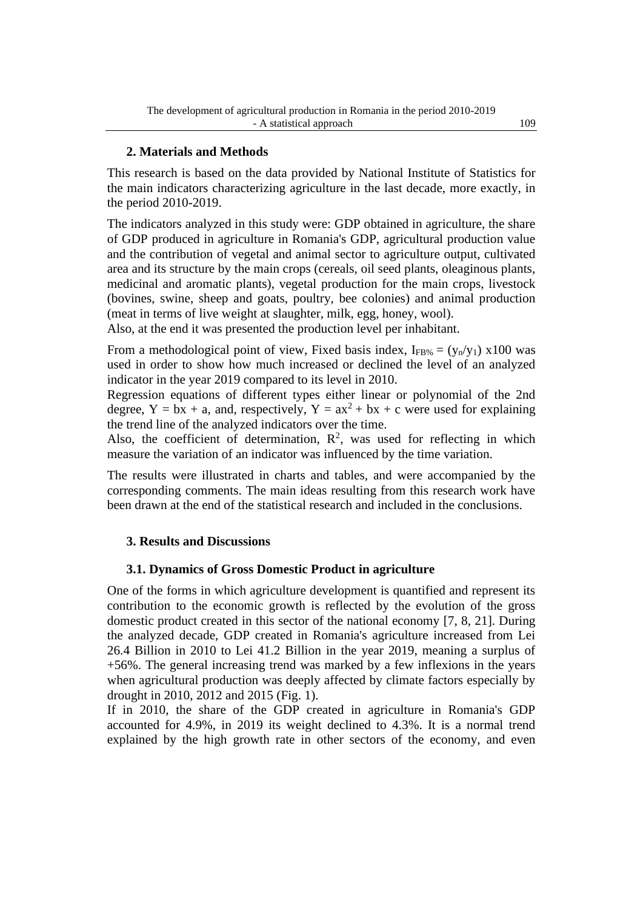# **2. Materials and Methods**

This research is based on the data provided by National Institute of Statistics for the main indicators characterizing agriculture in the last decade, more exactly, in the period 2010-2019.

The indicators analyzed in this study were: GDP obtained in agriculture, the share of GDP produced in agriculture in Romania's GDP, agricultural production value and the contribution of vegetal and animal sector to agriculture output, cultivated area and its structure by the main crops (cereals, oil seed plants, oleaginous plants, medicinal and aromatic plants), vegetal production for the main crops, livestock (bovines, swine, sheep and goats, poultry, bee colonies) and animal production (meat in terms of live weight at slaughter, milk, egg, honey, wool).

Also, at the end it was presented the production level per inhabitant.

From a methodological point of view, Fixed basis index,  $I_{FB\%} = (y_n/y_1) \times 100$  was used in order to show how much increased or declined the level of an analyzed indicator in the year 2019 compared to its level in 2010.

Regression equations of different types either linear or polynomial of the 2nd degree,  $Y = bx + a$ , and, respectively,  $Y = ax^2 + bx + c$  were used for explaining the trend line of the analyzed indicators over the time.

Also, the coefficient of determination,  $\mathbb{R}^2$ , was used for reflecting in which measure the variation of an indicator was influenced by the time variation.

The results were illustrated in charts and tables, and were accompanied by the corresponding comments. The main ideas resulting from this research work have been drawn at the end of the statistical research and included in the conclusions.

# **3. Results and Discussions**

# **3.1. Dynamics of Gross Domestic Product in agriculture**

One of the forms in which agriculture development is quantified and represent its contribution to the economic growth is reflected by the evolution of the gross domestic product created in this sector of the national economy [7, 8, 21]. During the analyzed decade, GDP created in Romania's agriculture increased from Lei 26.4 Billion in 2010 to Lei 41.2 Billion in the year 2019, meaning a surplus of +56%. The general increasing trend was marked by a few inflexions in the years when agricultural production was deeply affected by climate factors especially by drought in 2010, 2012 and 2015 (Fig. 1).

If in 2010, the share of the GDP created in agriculture in Romania's GDP accounted for 4.9%, in 2019 its weight declined to 4.3%. It is a normal trend explained by the high growth rate in other sectors of the economy, and even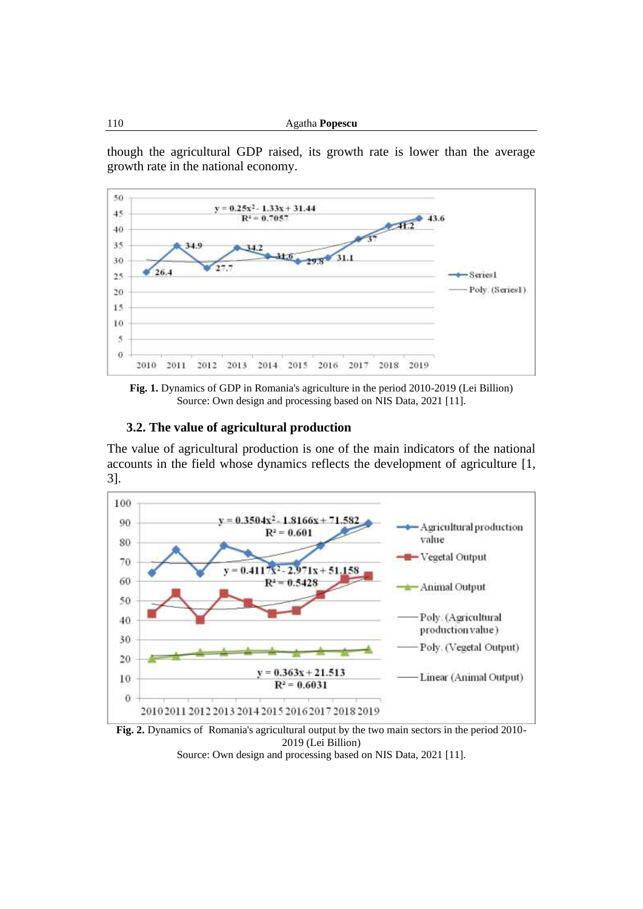though the agricultural GDP raised, its growth rate is lower than the average growth rate in the national economy.



**Fig. 1.** Dynamics of GDP in Romania's agriculture in the period 2010-2019 (Lei Billion) Source: Own design and processing based on NIS Data, 2021 [11].

#### **3.2. The value of agricultural production**

The value of agricultural production is one of the main indicators of the national accounts in the field whose dynamics reflects the development of agriculture [1, 3].



2019 (Lei Billion) Source: Own design and processing based on NIS Data, 2021 [11].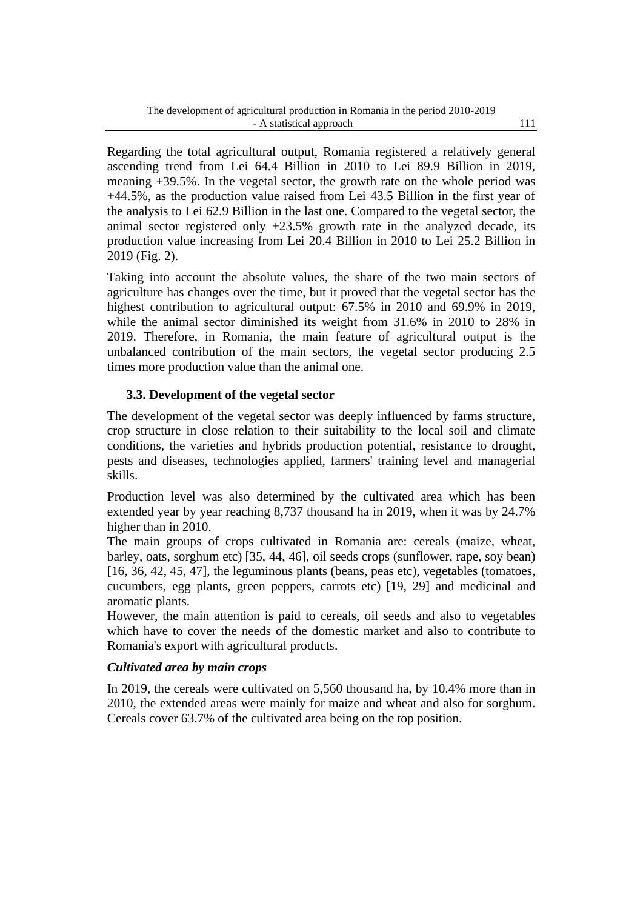Regarding the total agricultural output, Romania registered a relatively general ascending trend from Lei 64.4 Billion in 2010 to Lei 89.9 Billion in 2019, meaning +39.5%. In the vegetal sector, the growth rate on the whole period was +44.5%, as the production value raised from Lei 43.5 Billion in the first year of the analysis to Lei 62.9 Billion in the last one. Compared to the vegetal sector, the animal sector registered only  $+23.5\%$  growth rate in the analyzed decade, its production value increasing from Lei 20.4 Billion in 2010 to Lei 25.2 Billion in 2019 (Fig. 2).

Taking into account the absolute values, the share of the two main sectors of agriculture has changes over the time, but it proved that the vegetal sector has the highest contribution to agricultural output: 67.5% in 2010 and 69.9% in 2019, while the animal sector diminished its weight from 31.6% in 2010 to 28% in 2019. Therefore, in Romania, the main feature of agricultural output is the unbalanced contribution of the main sectors, the vegetal sector producing 2.5 times more production value than the animal one.

# **3.3. Development of the vegetal sector**

The development of the vegetal sector was deeply influenced by farms structure, crop structure in close relation to their suitability to the local soil and climate conditions, the varieties and hybrids production potential, resistance to drought, pests and diseases, technologies applied, farmers' training level and managerial skills.

Production level was also determined by the cultivated area which has been extended year by year reaching 8,737 thousand ha in 2019, when it was by 24.7% higher than in 2010.

The main groups of crops cultivated in Romania are: cereals (maize, wheat, barley, oats, sorghum etc) [35, 44, 46], oil seeds crops (sunflower, rape, soy bean) [16, 36, 42, 45, 47], the leguminous plants (beans, peas etc), vegetables (tomatoes, cucumbers, egg plants, green peppers, carrots etc) [19, 29] and medicinal and aromatic plants.

However, the main attention is paid to cereals, oil seeds and also to vegetables which have to cover the needs of the domestic market and also to contribute to Romania's export with agricultural products.

# *Cultivated area by main crops*

In 2019, the cereals were cultivated on 5,560 thousand ha, by 10.4% more than in 2010, the extended areas were mainly for maize and wheat and also for sorghum. Cereals cover 63.7% of the cultivated area being on the top position.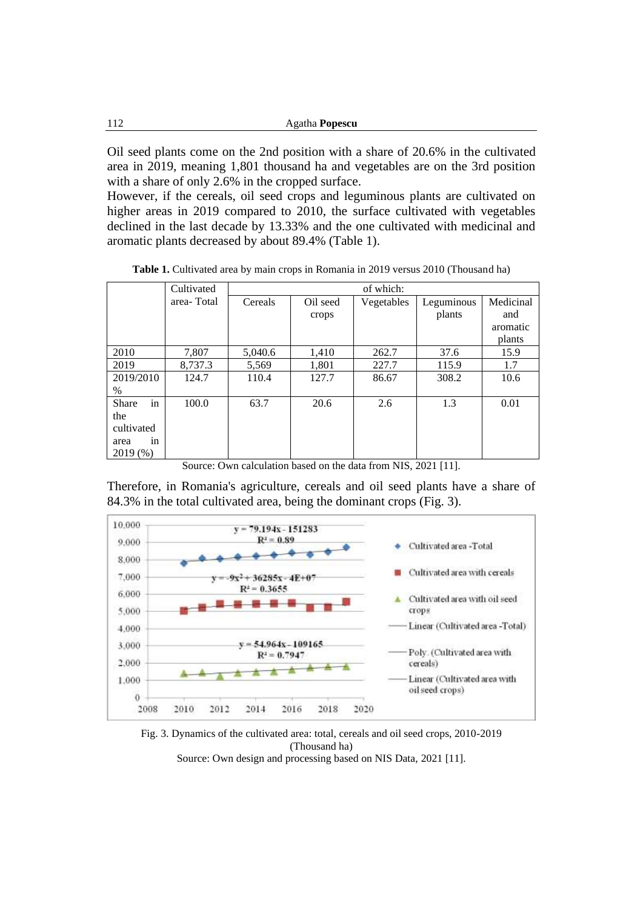| 112 | Agatha <b>Popescu</b> |
|-----|-----------------------|
|     |                       |

Oil seed plants come on the 2nd position with a share of 20.6% in the cultivated area in 2019, meaning 1,801 thousand ha and vegetables are on the 3rd position with a share of only 2.6% in the cropped surface.

However, if the cereals, oil seed crops and leguminous plants are cultivated on higher areas in 2019 compared to 2010, the surface cultivated with vegetables declined in the last decade by 13.33% and the one cultivated with medicinal and aromatic plants decreased by about 89.4% (Table 1).

|                    | Cultivated |         |       |            |            |           |  |
|--------------------|------------|---------|-------|------------|------------|-----------|--|
|                    | area-Total | Cereals |       | Vegetables | Leguminous | Medicinal |  |
|                    |            |         | crops |            | plants     | and       |  |
|                    |            |         |       |            |            | aromatic  |  |
|                    |            |         |       |            |            | plants    |  |
| 2010               | 7,807      | 5,040.6 | 1,410 | 262.7      | 37.6       | 15.9      |  |
| 2019               | 8,737.3    | 5,569   | 1,801 | 227.7      | 115.9      | 1.7       |  |
| 2019/2010          | 124.7      | 110.4   | 127.7 | 86.67      | 308.2      | 10.6      |  |
| $\%$               |            |         |       |            |            |           |  |
| in<br><b>Share</b> | 100.0      | 63.7    | 20.6  | 2.6        | 1.3        | 0.01      |  |
| the                |            |         |       |            |            |           |  |
| cultivated         |            |         |       |            |            |           |  |
| in<br>area         |            |         |       |            |            |           |  |
| 2019(%)            |            |         |       |            |            |           |  |

**Table 1.** Cultivated area by main crops in Romania in 2019 versus 2010 (Thousand ha)

Source: Own calculation based on the data from NIS, 2021 [11].

Therefore, in Romania's agriculture, cereals and oil seed plants have a share of 84.3% in the total cultivated area, being the dominant crops (Fig. 3).



Fig. 3. Dynamics of the cultivated area: total, cereals and oil seed crops, 2010-2019 (Thousand ha) Source: Own design and processing based on NIS Data, 2021 [11].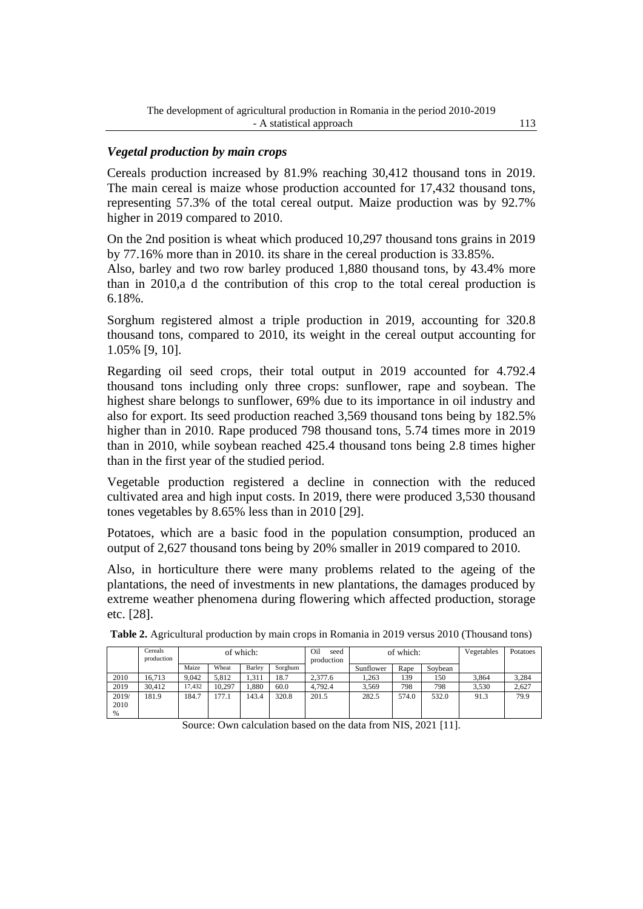# *Vegetal production by main crops*

Cereals production increased by 81.9% reaching 30,412 thousand tons in 2019. The main cereal is maize whose production accounted for 17,432 thousand tons, representing 57.3% of the total cereal output. Maize production was by 92.7% higher in 2019 compared to 2010.

On the 2nd position is wheat which produced 10,297 thousand tons grains in 2019 by 77.16% more than in 2010. its share in the cereal production is 33.85%.

Also, barley and two row barley produced 1,880 thousand tons, by 43.4% more than in 2010,a d the contribution of this crop to the total cereal production is 6.18%.

Sorghum registered almost a triple production in 2019, accounting for 320.8 thousand tons, compared to 2010, its weight in the cereal output accounting for 1.05% [9, 10].

Regarding oil seed crops, their total output in 2019 accounted for 4.792.4 thousand tons including only three crops: sunflower, rape and soybean. The highest share belongs to sunflower, 69% due to its importance in oil industry and also for export. Its seed production reached 3,569 thousand tons being by 182.5% higher than in 2010. Rape produced 798 thousand tons, 5.74 times more in 2019 than in 2010, while soybean reached 425.4 thousand tons being 2.8 times higher than in the first year of the studied period.

Vegetable production registered a decline in connection with the reduced cultivated area and high input costs. In 2019, there were produced 3,530 thousand tones vegetables by 8.65% less than in 2010 [29].

Potatoes, which are a basic food in the population consumption, produced an output of 2,627 thousand tons being by 20% smaller in 2019 compared to 2010.

Also, in horticulture there were many problems related to the ageing of the plantations, the need of investments in new plantations, the damages produced by extreme weather phenomena during flowering which affected production, storage etc. [28].

|               | Cereals<br>production | of which: |        |        | Oil<br>seed<br>production | of which: |           |       | Vegetables | Potatoes |       |
|---------------|-----------------------|-----------|--------|--------|---------------------------|-----------|-----------|-------|------------|----------|-------|
|               |                       | Maize     | Wheat  | Barley | Sorghum                   |           | Sunflower | Rape  | Sovbean    |          |       |
| 2010          | 16.713                | 9.042     | 5.812  | 1.311  | 18.7                      | 2,377.6   | .263      | 139   | 150        | 3.864    | 3,284 |
| 2019          | 30.412                | 17.432    | 10.297 | 1.880  | 60.0                      | 4.792.4   | 3,569     | 798   | 798        | 3,530    | 2,627 |
| 2019/<br>2010 | 181.9                 | 184.7     | 177.1  | 143.4  | 320.8                     | 201.5     | 282.5     | 574.0 | 532.0      | 91.3     | 79.9  |
| $\%$          |                       |           |        |        |                           |           |           |       |            |          |       |

**Table 2.** Agricultural production by main crops in Romania in 2019 versus 2010 (Thousand tons)

Source: Own calculation based on the data from NIS, 2021 [11].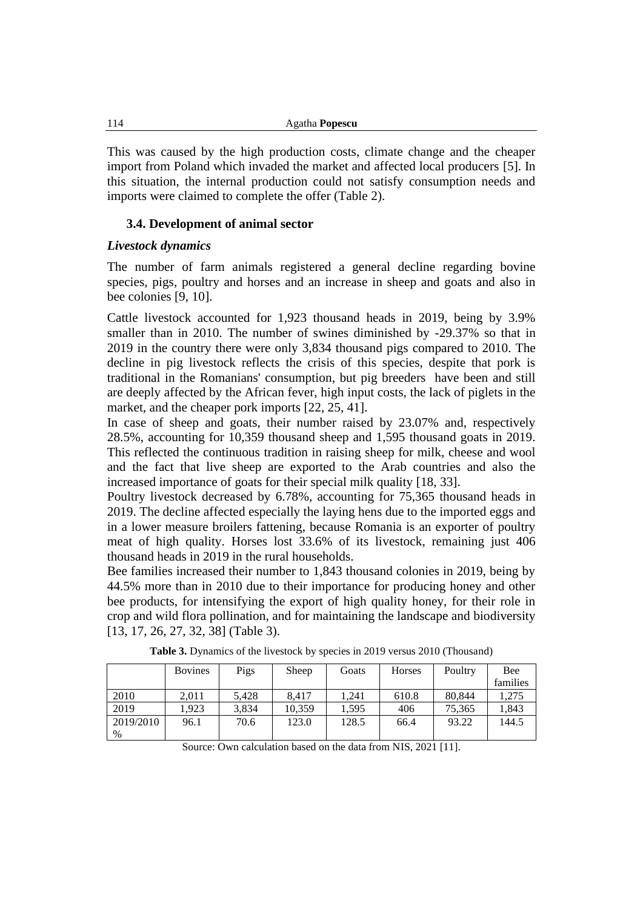This was caused by the high production costs, climate change and the cheaper import from Poland which invaded the market and affected local producers [5]. In this situation, the internal production could not satisfy consumption needs and imports were claimed to complete the offer (Table 2).

#### **3.4. Development of animal sector**

#### *Livestock dynamics*

The number of farm animals registered a general decline regarding bovine species, pigs, poultry and horses and an increase in sheep and goats and also in bee colonies [9, 10].

Cattle livestock accounted for 1,923 thousand heads in 2019, being by 3.9% smaller than in 2010. The number of swines diminished by -29.37% so that in 2019 in the country there were only 3,834 thousand pigs compared to 2010. The decline in pig livestock reflects the crisis of this species, despite that pork is traditional in the Romanians' consumption, but pig breeders have been and still are deeply affected by the African fever, high input costs, the lack of piglets in the market, and the cheaper pork imports [22, 25, 41].

In case of sheep and goats, their number raised by 23.07% and, respectively 28.5%, accounting for 10,359 thousand sheep and 1,595 thousand goats in 2019. This reflected the continuous tradition in raising sheep for milk, cheese and wool and the fact that live sheep are exported to the Arab countries and also the increased importance of goats for their special milk quality [18, 33].

Poultry livestock decreased by 6.78%, accounting for 75,365 thousand heads in 2019. The decline affected especially the laying hens due to the imported eggs and in a lower measure broilers fattening, because Romania is an exporter of poultry meat of high quality. Horses lost 33.6% of its livestock, remaining just 406 thousand heads in 2019 in the rural households.

Bee families increased their number to 1,843 thousand colonies in 2019, being by 44.5% more than in 2010 due to their importance for producing honey and other bee products, for intensifying the export of high quality honey, for their role in crop and wild flora pollination, and for maintaining the landscape and biodiversity [13, 17, 26, 27, 32, 38] (Table 3).

|           | <b>Bovines</b> | Pigs  | Sheep  | Goats | Horses | Poultry | Bee      |
|-----------|----------------|-------|--------|-------|--------|---------|----------|
|           |                |       |        |       |        |         | families |
| 2010      | 2.011          | 5.428 | 8.417  | 1.241 | 610.8  | 80.844  | .275     |
| 2019      | 1.923          | 3.834 | 10.359 | 1.595 | 406    | 75,365  | 1,843    |
| 2019/2010 | 96.1           | 70.6  | 123.0  | 128.5 | 66.4   | 93.22   | 144.5    |
| $\%$      |                |       |        |       |        |         |          |

**Table 3.** Dynamics of the livestock by species in 2019 versus 2010 (Thousand)

Source: Own calculation based on the data from NIS, 2021 [11].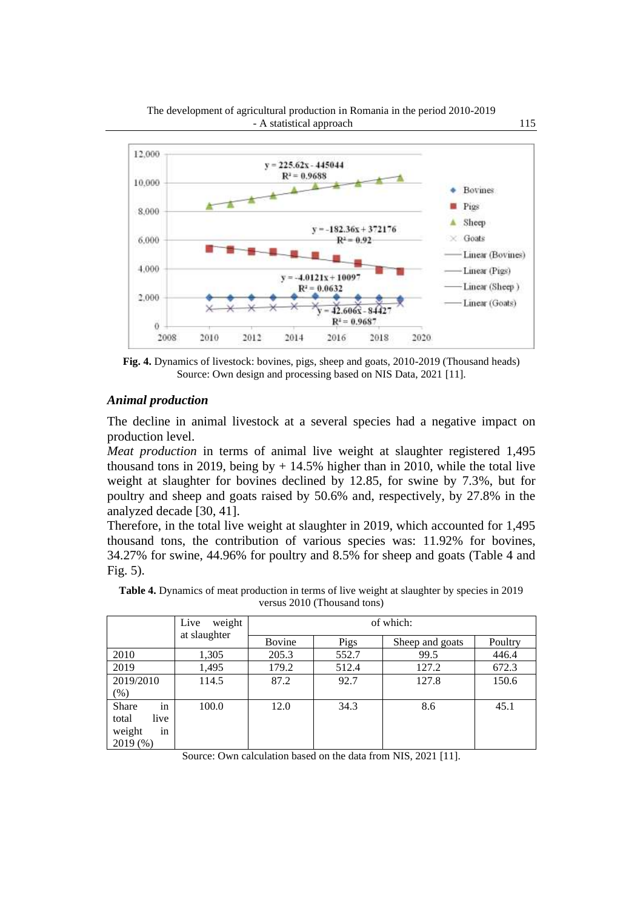

The development of agricultural production in Romania in the period 2010-2019

**Fig. 4.** Dynamics of livestock: bovines, pigs, sheep and goats, 2010-2019 (Thousand heads) Source: Own design and processing based on NIS Data, 2021 [11].

#### *Animal production*

The decline in animal livestock at a several species had a negative impact on production level.

*Meat production* in terms of animal live weight at slaughter registered 1,495 thousand tons in 2019, being by  $+ 14.5\%$  higher than in 2010, while the total live weight at slaughter for bovines declined by 12.85, for swine by 7.3%, but for poultry and sheep and goats raised by 50.6% and, respectively, by 27.8% in the analyzed decade [30, 41].

Therefore, in the total live weight at slaughter in 2019, which accounted for 1,495 thousand tons, the contribution of various species was: 11.92% for bovines, 34.27% for swine, 44.96% for poultry and 8.5% for sheep and goats (Table 4 and Fig. 5).

|                                                         | Live<br>weight | of which: |       |                 |         |  |  |  |  |
|---------------------------------------------------------|----------------|-----------|-------|-----------------|---------|--|--|--|--|
|                                                         | at slaughter   | Bovine    | Pigs  | Sheep and goats | Poultry |  |  |  |  |
| 2010                                                    | 1,305          | 205.3     | 552.7 | 99.5            | 446.4   |  |  |  |  |
| 2019                                                    | 1,495          | 179.2     | 512.4 | 127.2           | 672.3   |  |  |  |  |
| 2019/2010<br>$(\%)$                                     | 114.5          | 87.2      | 92.7  | 127.8           | 150.6   |  |  |  |  |
| in<br>Share<br>live<br>total<br>weight<br>in<br>2019(%) | 100.0          | 12.0      | 34.3  | 8.6             | 45.1    |  |  |  |  |

**Table 4.** Dynamics of meat production in terms of live weight at slaughter by species in 2019 versus 2010 (Thousand tons)

Source: Own calculation based on the data from NIS, 2021 [11].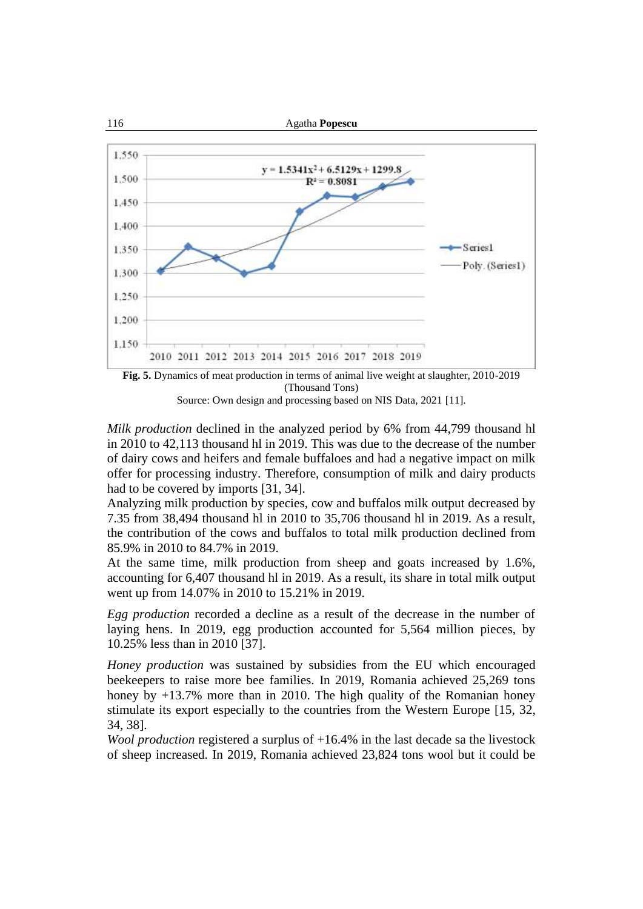



*Milk production* declined in the analyzed period by 6% from 44,799 thousand hl in 2010 to 42,113 thousand hl in 2019. This was due to the decrease of the number of dairy cows and heifers and female buffaloes and had a negative impact on milk offer for processing industry. Therefore, consumption of milk and dairy products had to be covered by imports [31, 34].

Analyzing milk production by species, cow and buffalos milk output decreased by 7.35 from 38,494 thousand hl in 2010 to 35,706 thousand hl in 2019. As a result, the contribution of the cows and buffalos to total milk production declined from 85.9% in 2010 to 84.7% in 2019.

At the same time, milk production from sheep and goats increased by 1.6%, accounting for 6,407 thousand hl in 2019. As a result, its share in total milk output went up from 14.07% in 2010 to 15.21% in 2019.

*Egg production* recorded a decline as a result of the decrease in the number of laying hens. In 2019, egg production accounted for 5,564 million pieces, by 10.25% less than in 2010 [37].

*Honey production* was sustained by subsidies from the EU which encouraged beekeepers to raise more bee families. In 2019, Romania achieved 25,269 tons honey by  $+13.7\%$  more than in 2010. The high quality of the Romanian honey stimulate its export especially to the countries from the Western Europe [15, 32, 34, 38].

*Wool production* registered a surplus of +16.4% in the last decade sa the livestock of sheep increased. In 2019, Romania achieved 23,824 tons wool but it could be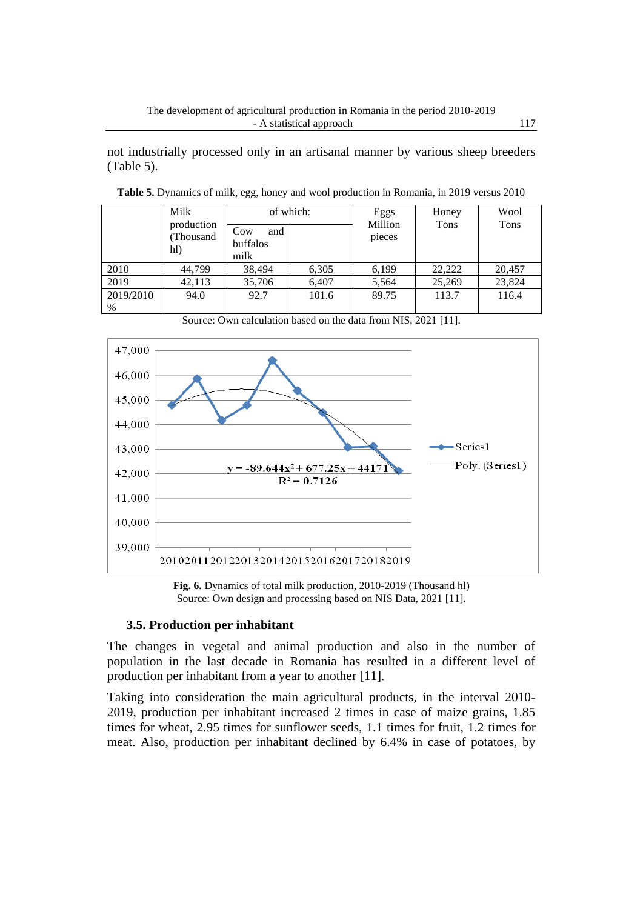not industrially processed only in an artisanal manner by various sheep breeders (Table 5).

|           | Milk                            | of which:                      |       | Eggs              | Honey  | Wool   |  |
|-----------|---------------------------------|--------------------------------|-------|-------------------|--------|--------|--|
|           | production<br>(Thousand)<br>hl) | and<br>Cow<br>buffalos<br>milk |       | Million<br>pieces | Tons   | Tons   |  |
| 2010      | 44,799                          | 38.494                         | 6,305 | 6,199             | 22.222 | 20,457 |  |
| 2019      | 42,113                          | 35,706                         | 6,407 | 5,564             | 25,269 | 23,824 |  |
| 2019/2010 | 94.0                            | 92.7                           | 101.6 | 89.75             | 113.7  | 116.4  |  |
| $\%$      |                                 |                                |       |                   |        |        |  |

**Table 5.** Dynamics of milk, egg, honey and wool production in Romania, in 2019 versus 2010



Source: Own calculation based on the data from NIS, 2021 [11].

**Fig. 6.** Dynamics of total milk production, 2010-2019 (Thousand hl) Source: Own design and processing based on NIS Data, 2021 [11].

#### **3.5. Production per inhabitant**

The changes in vegetal and animal production and also in the number of population in the last decade in Romania has resulted in a different level of production per inhabitant from a year to another [11].

Taking into consideration the main agricultural products, in the interval 2010- 2019, production per inhabitant increased 2 times in case of maize grains, 1.85 times for wheat, 2.95 times for sunflower seeds, 1.1 times for fruit, 1.2 times for meat. Also, production per inhabitant declined by 6.4% in case of potatoes, by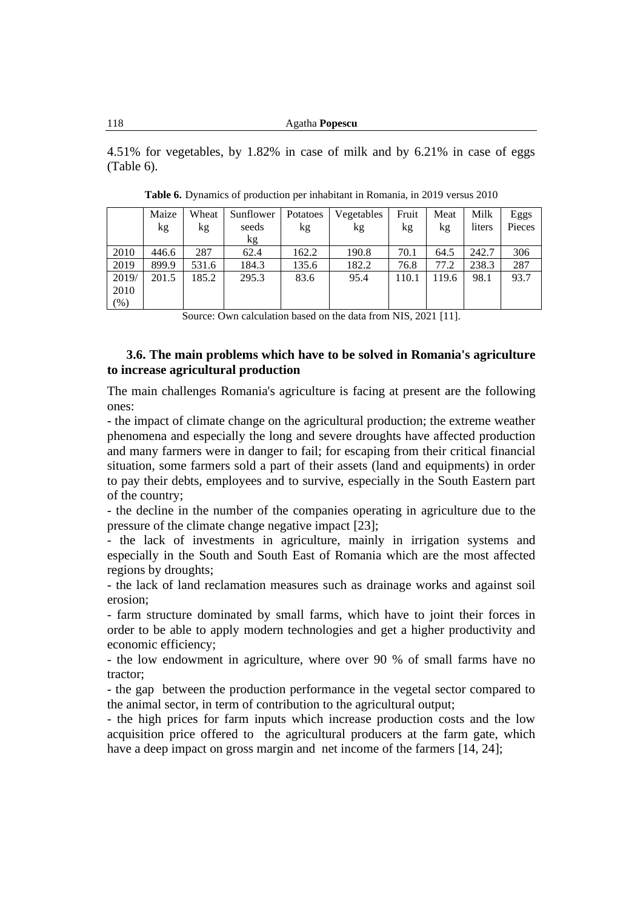4.51% for vegetables, by 1.82% in case of milk and by 6.21% in case of eggs (Table 6).

|        | Maize | Wheat | Sunflower   | Potatoes | Vegetables | Fruit | Meat  | Milk   | Eggs   |
|--------|-------|-------|-------------|----------|------------|-------|-------|--------|--------|
|        | kg    | kg    | seeds<br>kg | kg       | kg         | kg    | kg    | liters | Pieces |
| 2010   | 446.6 | 287   | 62.4        | 162.2    | 190.8      | 70.1  | 64.5  | 242.7  | 306    |
| 2019   | 899.9 | 531.6 | 184.3       | 135.6    | 182.2      | 76.8  | 77.2  | 238.3  | 287    |
| 2019/  | 201.5 | 185.2 | 295.3       | 83.6     | 95.4       | 110.1 | 119.6 | 98.1   | 93.7   |
| 2010   |       |       |             |          |            |       |       |        |        |
| $(\%)$ |       |       |             |          |            |       |       |        |        |

**Table 6.** Dynamics of production per inhabitant in Romania, in 2019 versus 2010

Source: Own calculation based on the data from NIS, 2021 [11].

#### **3.6. The main problems which have to be solved in Romania's agriculture to increase agricultural production**

The main challenges Romania's agriculture is facing at present are the following ones:

- the impact of climate change on the agricultural production; the extreme weather phenomena and especially the long and severe droughts have affected production and many farmers were in danger to fail; for escaping from their critical financial situation, some farmers sold a part of their assets (land and equipments) in order to pay their debts, employees and to survive, especially in the South Eastern part of the country;

- the decline in the number of the companies operating in agriculture due to the pressure of the climate change negative impact [23];

- the lack of investments in agriculture, mainly in irrigation systems and especially in the South and South East of Romania which are the most affected regions by droughts;

- the lack of land reclamation measures such as drainage works and against soil erosion;

- farm structure dominated by small farms, which have to joint their forces in order to be able to apply modern technologies and get a higher productivity and economic efficiency;

- the low endowment in agriculture, where over 90 % of small farms have no tractor;

- the gap between the production performance in the vegetal sector compared to the animal sector, in term of contribution to the agricultural output;

- the high prices for farm inputs which increase production costs and the low acquisition price offered to the agricultural producers at the farm gate, which have a deep impact on gross margin and net income of the farmers [14, 24];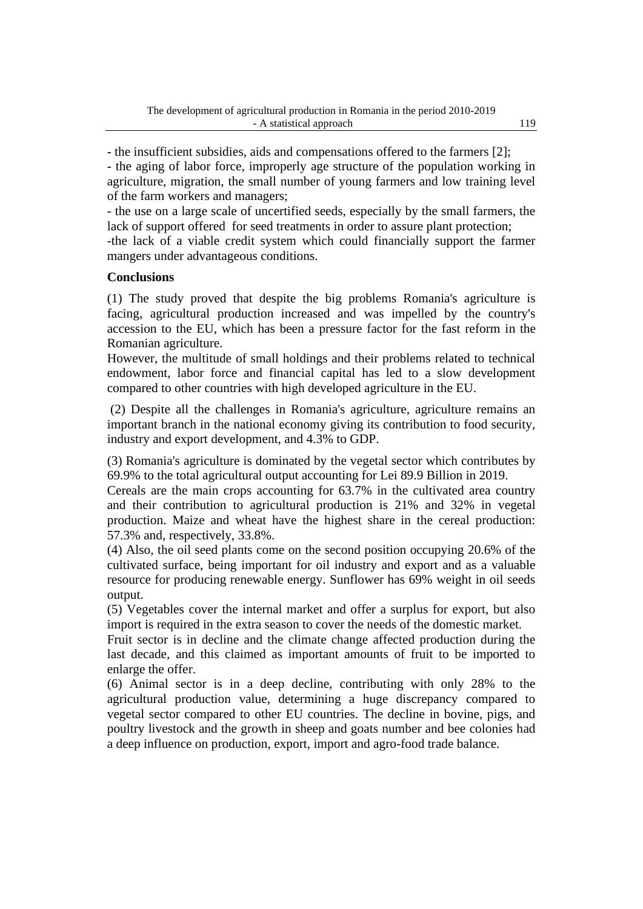- the insufficient subsidies, aids and compensations offered to the farmers [2];

- the aging of labor force, improperly age structure of the population working in agriculture, migration, the small number of young farmers and low training level of the farm workers and managers;

- the use on a large scale of uncertified seeds, especially by the small farmers, the lack of support offered for seed treatments in order to assure plant protection; -the lack of a viable credit system which could financially support the farmer mangers under advantageous conditions.

# **Conclusions**

(1) The study proved that despite the big problems Romania's agriculture is facing, agricultural production increased and was impelled by the country's accession to the EU, which has been a pressure factor for the fast reform in the Romanian agriculture.

However, the multitude of small holdings and their problems related to technical endowment, labor force and financial capital has led to a slow development compared to other countries with high developed agriculture in the EU.

(2) Despite all the challenges in Romania's agriculture, agriculture remains an important branch in the national economy giving its contribution to food security, industry and export development, and 4.3% to GDP.

(3) Romania's agriculture is dominated by the vegetal sector which contributes by 69.9% to the total agricultural output accounting for Lei 89.9 Billion in 2019.

Cereals are the main crops accounting for 63.7% in the cultivated area country and their contribution to agricultural production is 21% and 32% in vegetal production. Maize and wheat have the highest share in the cereal production: 57.3% and, respectively, 33.8%.

(4) Also, the oil seed plants come on the second position occupying 20.6% of the cultivated surface, being important for oil industry and export and as a valuable resource for producing renewable energy. Sunflower has 69% weight in oil seeds output.

(5) Vegetables cover the internal market and offer a surplus for export, but also import is required in the extra season to cover the needs of the domestic market.

Fruit sector is in decline and the climate change affected production during the last decade, and this claimed as important amounts of fruit to be imported to enlarge the offer.

(6) Animal sector is in a deep decline, contributing with only 28% to the agricultural production value, determining a huge discrepancy compared to vegetal sector compared to other EU countries. The decline in bovine, pigs, and poultry livestock and the growth in sheep and goats number and bee colonies had a deep influence on production, export, import and agro-food trade balance.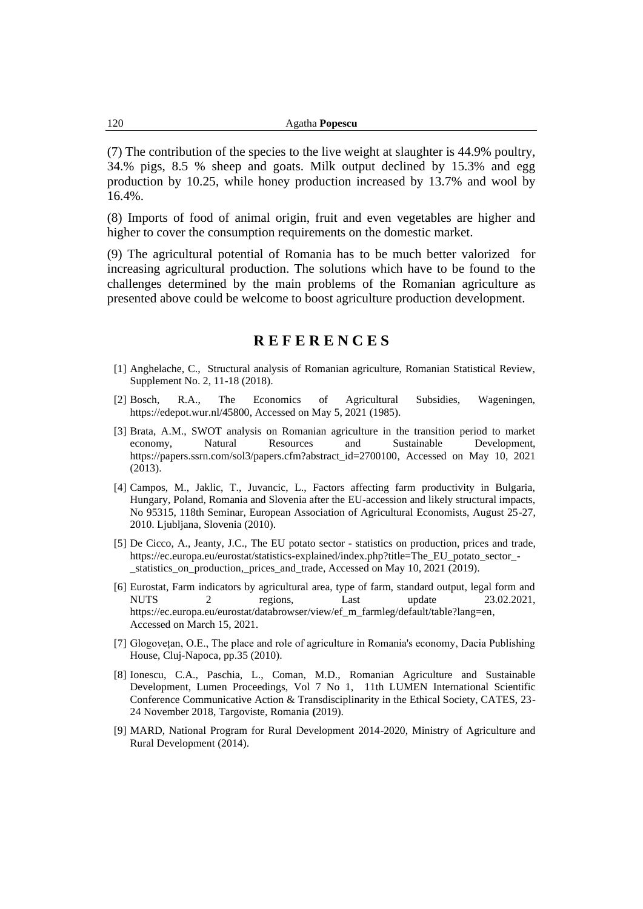(7) The contribution of the species to the live weight at slaughter is 44.9% poultry, 34.% pigs, 8.5 % sheep and goats. Milk output declined by 15.3% and egg production by 10.25, while honey production increased by 13.7% and wool by 16.4%.

(8) Imports of food of animal origin, fruit and even vegetables are higher and higher to cover the consumption requirements on the domestic market.

(9) The agricultural potential of Romania has to be much better valorized for increasing agricultural production. The solutions which have to be found to the challenges determined by the main problems of the Romanian agriculture as presented above could be welcome to boost agriculture production development.

# **R E F E R E N C E S**

- [1] Anghelache, C., Structural analysis of Romanian agriculture, Romanian Statistical Review, Supplement No. 2, 11-18 (2018).
- [2] Bosch, R.A., The Economics of Agricultural Subsidies, Wageningen, [https://edepot.wur.nl/45800,](https://edepot.wur.nl/45800) Accessed on May 5, 2021 (1985).
- [3] Brata, A.M., SWOT analysis on Romanian agriculture in the transition period to market economy, Natural Resources and Sustainable Development, [https://papers.ssrn.com/sol3/papers.cfm?abstract\\_id=2700100,](https://papers.ssrn.com/sol3/papers.cfm?abstract_id=2700100) Accessed on May 10, 2021 (2013).
- [4] Campos, M., Jaklic, T., Juvancic, L., Factors affecting farm productivity in Bulgaria, Hungary, Poland, Romania and Slovenia after the EU-accession and likely structural impacts, No 95315, 118th Seminar, European Association of Agricultural Economists, August 25-27, 2010. Ljubljana, Slovenia (2010).
- [5] De Cicco, A., Jeanty, J.C., The EU potato sector statistics on production, prices and trade, [https://ec.europa.eu/eurostat/statistics-explained/index.php?title=The\\_EU\\_potato\\_sector\\_-](https://ec.europa.eu/eurostat/statistics-explained/index.php?title=The_EU_potato_sector_-_statistics_on_production,_prices_and_trade) [\\_statistics\\_on\\_production,\\_prices\\_and\\_trade,](https://ec.europa.eu/eurostat/statistics-explained/index.php?title=The_EU_potato_sector_-_statistics_on_production,_prices_and_trade) Accessed on May 10, 2021 (2019).
- [6] Eurostat, Farm indicators by agricultural area, type of farm, standard output, legal form and NUTS 2 regions, Last update 23.02.2021, [https://ec.europa.eu/eurostat/databrowser/view/ef\\_m\\_farmleg/default/table?lang=en,](https://ec.europa.eu/eurostat/databrowser/view/ef_m_farmleg/default/table?lang=en) Accessed on March 15, 2021.
- [7] Glogovețan, O.E., The place and role of agriculture in Romania's economy, Dacia Publishing House, Cluj-Napoca, pp.35 (2010).
- [8] Ionescu, C.A., Paschia, L., Coman, M.D., Romanian Agriculture and Sustainable Development, Lumen Proceedings, [Vol 7 No 1, 11th LUMEN International Scientific](https://proceedings.lumenpublishing.com/ojs/index.php/lumenproceedings/issue/view/4)  [Conference Communicative Action & Transdisciplinarity in the Ethical Society, CATES, 23-](https://proceedings.lumenpublishing.com/ojs/index.php/lumenproceedings/issue/view/4) [24 November 2018, Targoviste, Romania](https://proceedings.lumenpublishing.com/ojs/index.php/lumenproceedings/issue/view/4) **(**2019).
- [9] MARD, National Program for Rural Development 2014-2020, Ministry of Agriculture and Rural Development (2014).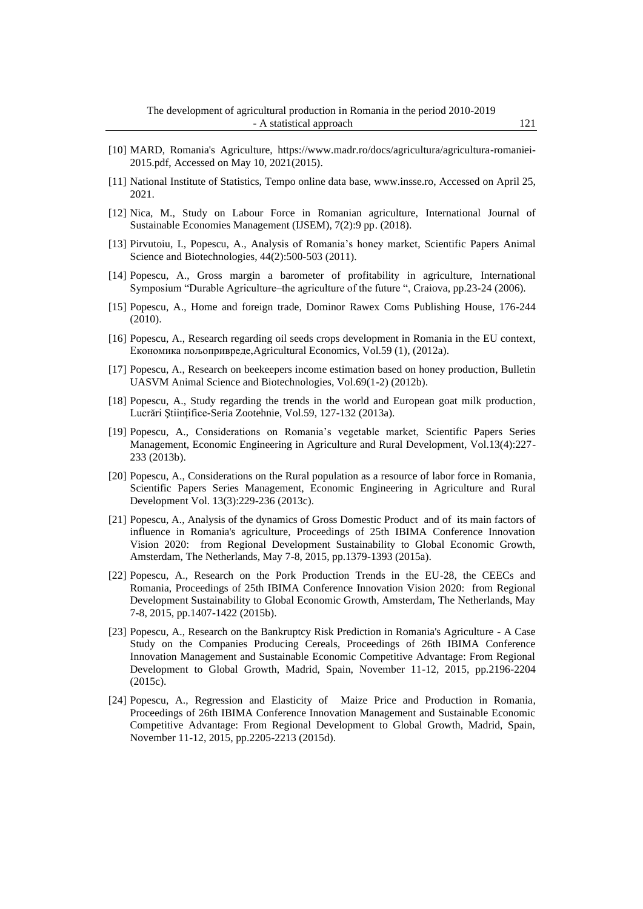- [10] MARD, Romania's Agriculture, https://www.madr.ro/docs/agricultura/agricultura-romaniei-2015.pdf, Accessed on May 10, 2021(2015).
- [11] National Institute of Statistics, Tempo online data base, [www.insse.ro,](http://www.insse.ro/) Accessed on April 25, 2021.
- [12] Nica, M., Study on Labour Force in Romanian agriculture, International Journal of Sustainable Economies Management (IJSEM), 7(2):9 pp. (2018).
- [13] Pirvutoiu, I., Popescu, A., [Analysis of Romania's honey market,](http://www.spasb.ro/index.php/spasb/article/view/715) Scientific Papers Animal Science and Biotechnologies, 44(2):500-503 (2011).
- [14] Popescu, A., Gross margin a barometer of profitability in agriculture, International Symposium "Durable Agriculture–the agriculture of the future ", Craiova, pp.23-24 (2006).
- [15] Popescu, A., Home and foreign trade, Dominor Rawex Coms Publishing House, 176-244 (2010).
- [16] Popescu, A., [Research regarding oil seeds crops development in Romania in the EU context,](https://cyberleninka.ru/article/n/research-regarding-oil-seeds-crops-development-in-romania-in-the-eu-context) Економика пољопривреде,Agricultural Economics, Vol.59 (1), (2012a).
- [17] Popescu, A., [Research on beekeepers income estimation based on honey production,](http://journals.usamvcluj.ro/index.php/zootehnie/article/viewFile/8482/7631) Bulletin UASVM Animal Science and Biotechnologies, Vol.69(1-2) (2012b).
- [18] Popescu, A., [Study regarding the trends in the world and European goat milk production,](https://www.researchgate.net/profile/Agatha_Popescu/publication/292364716_STUDY_REGARDING_THE_TRENDS_IN_THE_WORLD_AND_EUROPEAN_GOAT_MILK_PRODUCTION/links/56ad950508aeaa696f2cbc58.pdf) Lucrări Ştiinţifice-Seria Zootehnie, Vol.59, 127-132 (2013a).
- [19] Popescu, A., Considerations on Romania's vegetable market, Scientific Papers Series Management, Economic Engineering in Agriculture and Rural Development, Vol.13(4):227- 233 (2013b).
- [20] Popescu, A., [Considerations on the Rural population as a resource of labor force in Romania,](http://www.managementjournal.usamv.ro/pdf/vol3_3/Vol_13_3_2013.pdf#page=233) Scientific Papers Series Management, Economic Engineering in Agriculture and Rural Development Vol. 13(3):229-236 (2013c).
- [21] Popescu, A., Analysis of the dynamics of Gross Domestic Product and of its main factors of influence in Romania's agriculture, Proceedings of 25th IBIMA Conference Innovation Vision 2020: from Regional Development Sustainability to Global Economic Growth, Amsterdam, The Netherlands, May 7-8, 2015, pp.1379-1393 (2015a).
- [22] Popescu, A., Research on the Pork Production Trends in the EU-28, the CEECs and Romania, Proceedings of 25th IBIMA Conference Innovation Vision 2020: from Regional Development Sustainability to Global Economic Growth, Amsterdam, The Netherlands, May 7-8, 2015, pp.1407-1422 (2015b).
- [23] Popescu, A., Research on the Bankruptcy Risk Prediction in Romania's Agriculture A Case Study on the Companies Producing Cereals, Proceedings of 26th IBIMA Conference Innovation Management and Sustainable Economic Competitive Advantage: From Regional Development to Global Growth, Madrid, Spain, November 11-12, 2015, pp.2196-2204 (2015c).
- [24] Popescu, A., Regression and Elasticity of Maize Price and Production in Romania, Proceedings of 26th IBIMA Conference Innovation Management and Sustainable Economic Competitive Advantage: From Regional Development to Global Growth, Madrid, Spain, November 11-12, 2015, pp.2205-2213 (2015d).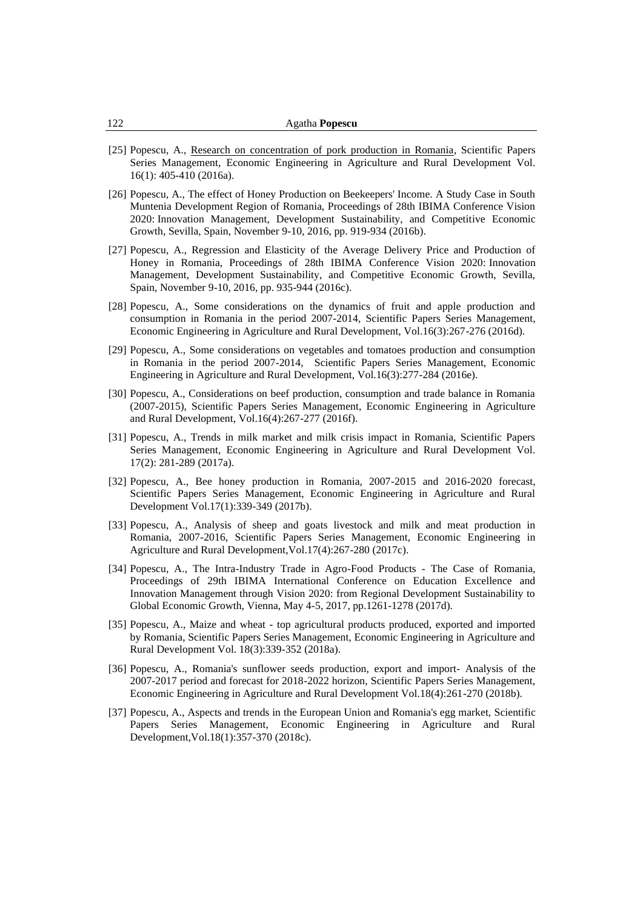- [25] Popescu, A., [Research on concentration of pork production in Romania,](http://managementjournal.usamv.ro/pdf/vol.16_1/Art63.pdf) Scientific Papers Series Management, Economic Engineering in Agriculture and Rural Development Vol. 16(1): 405-410 (2016a).
- [26] Popescu, A., The effect of Honey Production on Beekeepers' Income. A Study Case in South Muntenia Development Region of Romania, Proceedings of 28th IBIMA Conference Vision 2020: Innovation Management, Development Sustainability, and Competitive Economic Growth, Sevilla, Spain, November 9-10, 2016, pp. 919-934 (2016b).
- [27] Popescu, A., Regression and Elasticity of the Average Delivery Price and Production of Honey in Romania, Proceedings of 28th IBIMA Conference Vision 2020: Innovation Management, Development Sustainability, and Competitive Economic Growth, Sevilla, Spain, November 9-10, 2016, pp. 935-944 (2016c).
- [28] Popescu, A., Some considerations on the dynamics of fruit and apple production and consumption in Romania in the period 2007-2014, Scientific Papers Series Management, Economic Engineering in Agriculture and Rural Development, Vol.16(3):267-276 (2016d).
- [29] Popescu, A., Some considerations on vegetables and tomatoes production and consumption in Romania in the period 2007-2014, Scientific Papers Series Management, Economic Engineering in Agriculture and Rural Development, Vol.16(3):277-284 (2016e).
- [30] Popescu, A., Considerations on beef production, consumption and trade balance in Romania (2007-2015), Scientific Papers Series Management, Economic Engineering in Agriculture and Rural Development, Vol.16(4):267-277 (2016f).
- [31] Popescu, A., Trends in milk market and milk crisis impact in Romania, Scientific Papers Series Management, Economic Engineering in Agriculture and Rural Development Vol. 17(2): 281-289 (2017a).
- [32] Popescu, A., Bee honey production in Romania, 2007-2015 and 2016-2020 forecast, Scientific Papers Series Management, Economic Engineering in Agriculture and Rural Development Vol.17(1):339-349 (2017b).
- [33] Popescu, A., Analysis of sheep and goats livestock and milk and meat production in Romania, 2007-2016, Scientific Papers Series Management, Economic Engineering in Agriculture and Rural Development,Vol.17(4):267-280 (2017c).
- [34] Popescu, A., The Intra-Industry Trade in Agro-Food Products The Case of Romania, Proceedings of 29th IBIMA International Conference on Education Excellence and Innovation Management through Vision 2020: from Regional Development Sustainability to Global Economic Growth, Vienna, May 4-5, 2017, pp.1261-1278 (2017d).
- [35] Popescu, A., Maize and wheat top agricultural products produced, exported and imported by Romania, Scientific Papers Series Management, Economic Engineering in Agriculture and Rural Development Vol. 18(3):339-352 (2018a).
- [36] Popescu, A., Romania's sunflower seeds production, export and import- Analysis of the 2007-2017 period and forecast for 2018-2022 horizon, Scientific Papers Series Management, Economic Engineering in Agriculture and Rural Development Vol.18(4):261-270 (2018b).
- [37] Popescu, A., Aspects and trends in the European Union and Romania's egg market, Scientific Papers Series Management, Economic Engineering in Agriculture and Rural Development,Vol.18(1):357-370 (2018c).